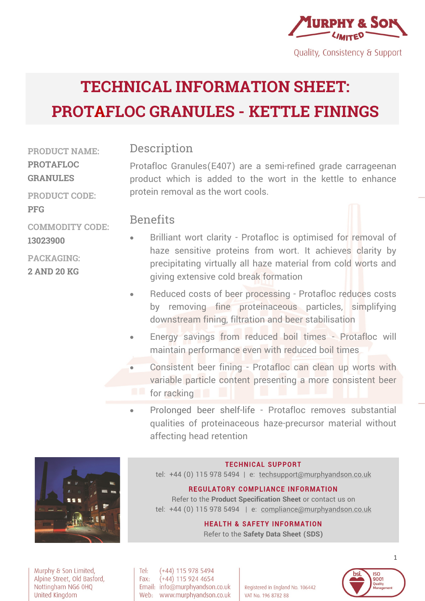

# **TECHNICAL INFORMATION SHEET: PROTAFLOC GRANULES - KETTLE FININGS**

**PRODUCT NAME: PROTAFLOC GRANULES**

**PRODUCT CODE:** 

**COMMODITY CODE:**

**PFG**

**13023900**

**PACKAGING: 2 AND 20 KG** 

**Description** 

Protafloc Granules(E407) are a semi-refined grade carrageenan product which is added to the wort in the kettle to enhance protein removal as the wort cools.

#### **Benefits**

- Brilliant wort clarity Protafloc is optimised for removal of haze sensitive proteins from wort. It achieves clarity by precipitating virtually all haze material from cold worts and giving extensive cold break formation
- Reduced costs of beer processing Protafloc reduces costs by removing fine proteinaceous particles, simplifying downstream fining, filtration and beer stabilisation
- Energy savings from reduced boil times Protafloc will maintain performance even with reduced boil times
- Consistent beer fining Protafloc can clean up worts with variable particle content presenting a more consistent beer for racking
- Prolonged beer shelf-life Protafloc removes substantial qualities of proteinaceous haze-precursor material without affecting head retention



#### **TECHNICAL SUPPORT**

tel: +44 (0) 115 978 5494 | e: techsupport@murphyandson.co.uk

#### **REGULATORY COMPLIANCE INFORMATION**

Refer to the **Product Specification Sheet** or contact us on tel: +44 (0) 115 978 5494 | e: compliance@murphyandson.co.uk

#### **HEALTH & SAFETY INFORMATION**

Refer to the **Safety Data Sheet (SDS)**

Murphy & Son Limited, Alpine Street, Old Basford, Nottingham NG6 0HQ United Kingdom

Tel:  $(+44)$  115 978 5494  $(+44)$  115 924 4654 Fax: Email: info@murphyandson.co.uk Web: www.murphyandson.co.uk

Registered in England No. 106442 VAT No. 196 8782 88

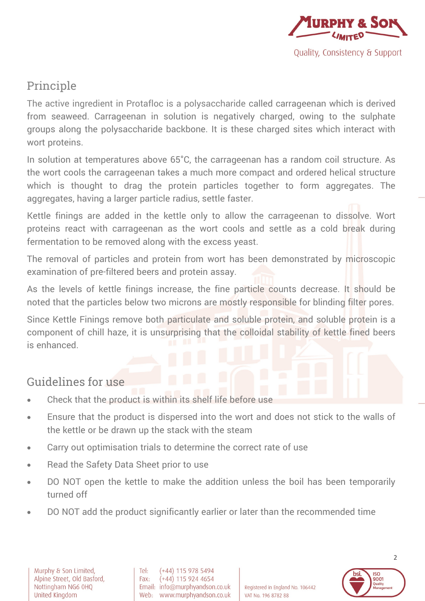

## Principle

The active ingredient in Protafloc is a polysaccharide called carrageenan which is derived from seaweed. Carrageenan in solution is negatively charged, owing to the sulphate groups along the polysaccharide backbone. It is these charged sites which interact with wort proteins.

In solution at temperatures above 65°C, the carrageenan has a random coil structure. As the wort cools the carrageenan takes a much more compact and ordered helical structure which is thought to drag the protein particles together to form aggregates. The aggregates, having a larger particle radius, settle faster.

Kettle finings are added in the kettle only to allow the carrageenan to dissolve. Wort proteins react with carrageenan as the wort cools and settle as a cold break during fermentation to be removed along with the excess yeast.

The removal of particles and protein from wort has been demonstrated by microscopic examination of pre-filtered beers and protein assay.

As the levels of kettle finings increase, the fine particle counts decrease. It should be noted that the particles below two microns are mostly responsible for blinding filter pores.

Since Kettle Finings remove both particulate and soluble protein, and soluble protein is a component of chill haze, it is unsurprising that the colloidal stability of kettle fined beers is enhanced.

### Guidelines for use

- Check that the product is within its shelf life before use
- Ensure that the product is dispersed into the wort and does not stick to the walls of the kettle or be drawn up the stack with the steam
- Carry out optimisation trials to determine the correct rate of use
- Read the Safety Data Sheet prior to use
- DO NOT open the kettle to make the addition unless the boil has been temporarily turned off
- DO NOT add the product significantly earlier or later than the recommended time



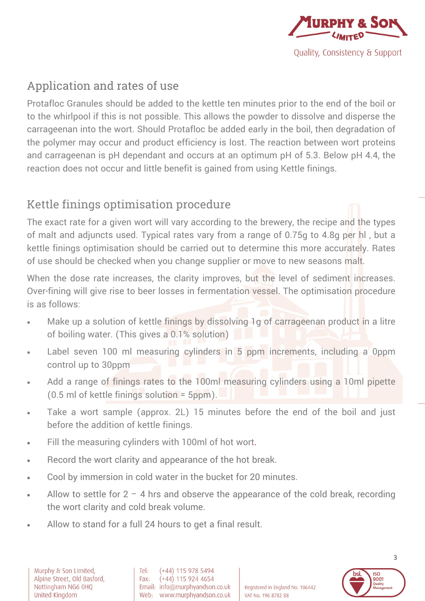

# Application and rates of use

Protafloc Granules should be added to the kettle ten minutes prior to the end of the boil or to the whirlpool if this is not possible. This allows the powder to dissolve and disperse the carrageenan into the wort. Should Protafloc be added early in the boil, then degradation of the polymer may occur and product efficiency is lost. The reaction between wort proteins and carrageenan is pH dependant and occurs at an optimum pH of 5.3. Below pH 4.4, the reaction does not occur and little benefit is gained from using Kettle finings.

# Kettle finings optimisation procedure

The exact rate for a given wort will vary according to the brewery, the recipe and the types of malt and adjuncts used. Typical rates vary from a range of 0.75g to 4.8g per hl , but a kettle finings optimisation should be carried out to determine this more accurately. Rates of use should be checked when you change supplier or move to new seasons malt.

When the dose rate increases, the clarity improves, but the level of sediment increases. Over-fining will give rise to beer losses in fermentation vessel. The optimisation procedure is as follows:

- Make up a solution of kettle finings by dissolving 1g of carrageenan product in a litre of boiling water. (This gives a 0.1% solution)
- Label seven 100 ml measuring cylinders in 5 ppm increments, including a 0ppm control up to 30ppm
- Add a range of finings rates to the 100ml measuring cylinders using a 10ml pipette (0.5 ml of kettle finings solution = 5ppm).
- Take a wort sample (approx. 2L) 15 minutes before the end of the boil and just before the addition of kettle finings.
- Fill the measuring cylinders with 100ml of hot wort.
- Record the wort clarity and appearance of the hot break.
- Cool by immersion in cold water in the bucket for 20 minutes.
- Allow to settle for  $2 4$  hrs and observe the appearance of the cold break, recording the wort clarity and cold break volume.
- Allow to stand for a full 24 hours to get a final result.